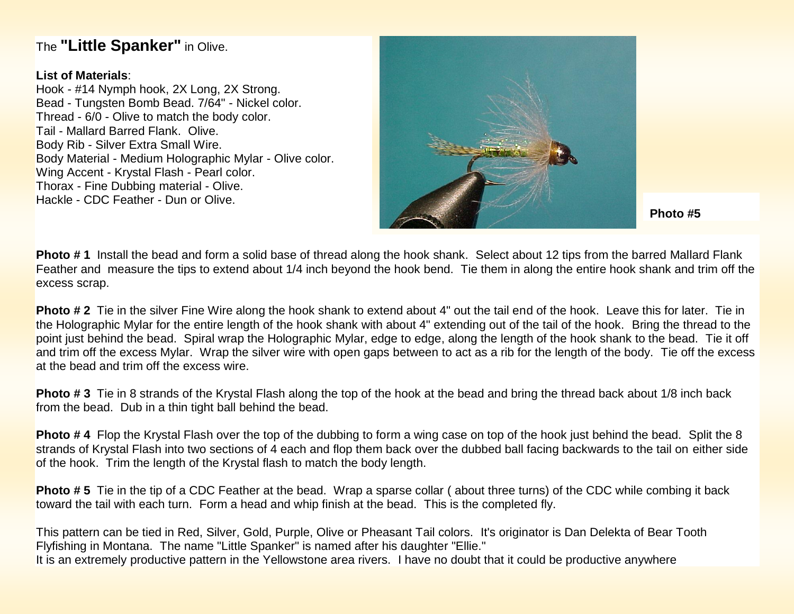## The **"Little Spanker"** in Olive.

## **List of Materials**:

Hook - #14 Nymph hook, 2X Long, 2X Strong. Bead - Tungsten Bomb Bead. 7/64" - Nickel color. Thread - 6/0 - Olive to match the body color. Tail - Mallard Barred Flank. Olive. Body Rib - Silver Extra Small Wire. Body Material - Medium Holographic Mylar - Olive color. Wing Accent - Krystal Flash - Pearl color. Thorax - Fine Dubbing material - Olive. Hackle - CDC Feather - Dun or Olive.



**Photo #5**

**Photo # 1** Install the bead and form a solid base of thread along the hook shank. Select about 12 tips from the barred Mallard Flank Feather and measure the tips to extend about 1/4 inch beyond the hook bend. Tie them in along the entire hook shank and trim off the excess scrap.

**Photo # 2** Tie in the silver Fine Wire along the hook shank to extend about 4" out the tail end of the hook. Leave this for later. Tie in the Holographic Mylar for the entire length of the hook shank with about 4" extending out of the tail of the hook. Bring the thread to the point just behind the bead. Spiral wrap the Holographic Mylar, edge to edge, along the length of the hook shank to the bead. Tie it off and trim off the excess Mylar. Wrap the silver wire with open gaps between to act as a rib for the length of the body. Tie off the excess at the bead and trim off the excess wire.

**Photo # 3** Tie in 8 strands of the Krystal Flash along the top of the hook at the bead and bring the thread back about 1/8 inch back from the bead. Dub in a thin tight ball behind the bead.

**Photo # 4** Flop the Krystal Flash over the top of the dubbing to form a wing case on top of the hook just behind the bead. Split the 8 strands of Krystal Flash into two sections of 4 each and flop them back over the dubbed ball facing backwards to the tail on either side of the hook. Trim the length of the Krystal flash to match the body length.

**Photo # 5** Tie in the tip of a CDC Feather at the bead. Wrap a sparse collar ( about three turns) of the CDC while combing it back toward the tail with each turn. Form a head and whip finish at the bead. This is the completed fly.

This pattern can be tied in Red, Silver, Gold, Purple, Olive or Pheasant Tail colors. It's originator is Dan Delekta of Bear Tooth Flyfishing in Montana. The name "Little Spanker" is named after his daughter "Ellie." It is an extremely productive pattern in the Yellowstone area rivers. I have no doubt that it could be productive anywhere